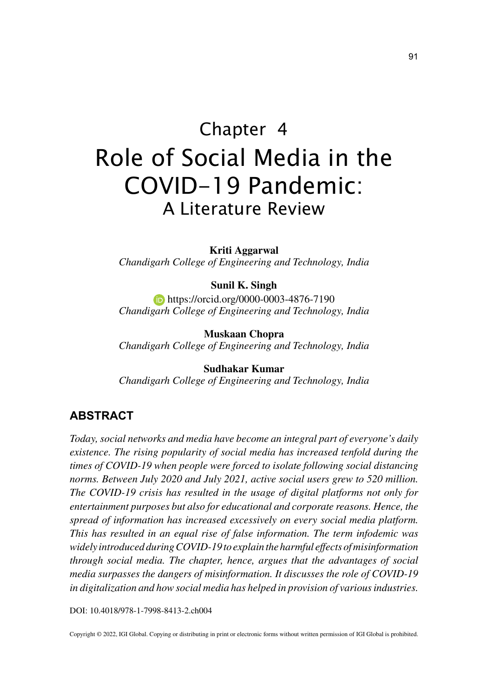# Chapter 4 Role of Social Media in the COVID-19 Pandemic: A Literature Review

**Kriti Aggarwal** *Chandigarh College of Engineering and Technology, India*

#### **Sunil K. Singh**

**https://orcid.org/0000-0003-4876-7190** *Chandigarh College of Engineering and Technology, India*

**Muskaan Chopra** *Chandigarh College of Engineering and Technology, India*

**Sudhakar Kumar**

*Chandigarh College of Engineering and Technology, India*

### **ABSTRACT**

*Today, social networks and media have become an integral part of everyone's daily existence. The rising popularity of social media has increased tenfold during the times of COVID-19 when people were forced to isolate following social distancing norms. Between July 2020 and July 2021, active social users grew to 520 million. The COVID-19 crisis has resulted in the usage of digital platforms not only for entertainment purposes but also for educational and corporate reasons. Hence, the spread of information has increased excessively on every social media platform. This has resulted in an equal rise of false information. The term infodemic was widely introduced during COVID-19 to explain the harmful effects of misinformation through social media. The chapter, hence, argues that the advantages of social media surpasses the dangers of misinformation. It discusses the role of COVID-19 in digitalization and how social media has helped in provision of various industries.*

DOI: 10.4018/978-1-7998-8413-2.ch004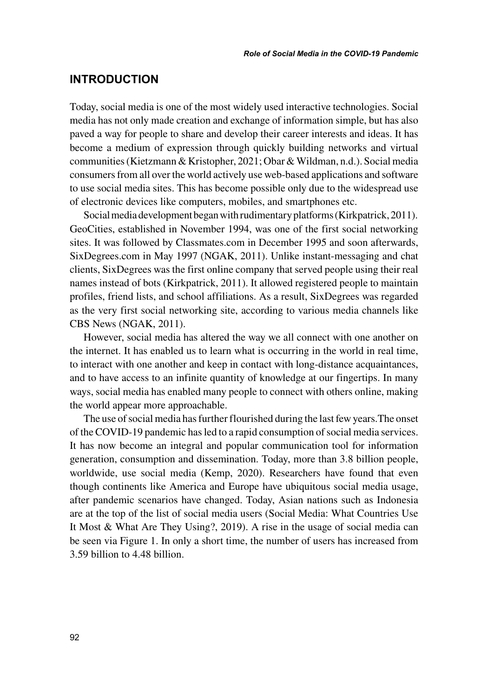### **INTRODUCTION**

Today, social media is one of the most widely used interactive technologies. Social media has not only made creation and exchange of information simple, but has also paved a way for people to share and develop their career interests and ideas. It has become a medium of expression through quickly building networks and virtual communities (Kietzmann & Kristopher, 2021; Obar & Wildman, n.d.). Social media consumers from all over the world actively use web-based applications and software to use social media sites. This has become possible only due to the widespread use of electronic devices like computers, mobiles, and smartphones etc.

Social media development began with rudimentary platforms (Kirkpatrick, 2011). GeoCities, established in November 1994, was one of the first social networking sites. It was followed by Classmates.com in December 1995 and soon afterwards, SixDegrees.com in May 1997 (NGAK, 2011). Unlike instant-messaging and chat clients, SixDegrees was the first online company that served people using their real names instead of bots (Kirkpatrick, 2011). It allowed registered people to maintain profiles, friend lists, and school affiliations. As a result, SixDegrees was regarded as the very first social networking site, according to various media channels like CBS News (NGAK, 2011).

However, social media has altered the way we all connect with one another on the internet. It has enabled us to learn what is occurring in the world in real time, to interact with one another and keep in contact with long-distance acquaintances, and to have access to an infinite quantity of knowledge at our fingertips. In many ways, social media has enabled many people to connect with others online, making the world appear more approachable.

The use of social media has further flourished during the last few years.The onset of the COVID-19 pandemic has led to a rapid consumption of social media services. It has now become an integral and popular communication tool for information generation, consumption and dissemination. Today, more than 3.8 billion people, worldwide, use social media (Kemp, 2020). Researchers have found that even though continents like America and Europe have ubiquitous social media usage, after pandemic scenarios have changed. Today, Asian nations such as Indonesia are at the top of the list of social media users (Social Media: What Countries Use It Most & What Are They Using?, 2019). A rise in the usage of social media can be seen via Figure 1. In only a short time, the number of users has increased from 3.59 billion to 4.48 billion.